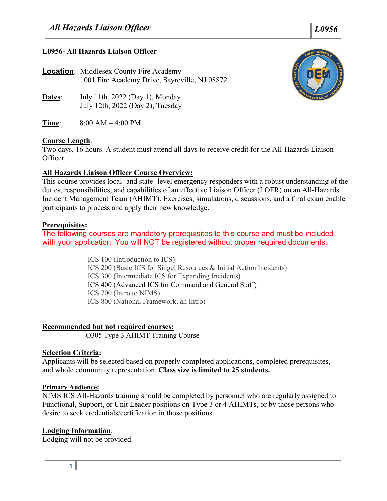## **L0956- All Hazards Liaison Officer**

**Location**: Middlesex County Fire Academy 1001 Fire Academy Drive, Sayreville, NJ 08872

- **Dates**: July 11th, 2022 (Day 1), Monday July 12th, 2022 (Day 2), Tuesday
- **Time**: 8:00 AM 4:00 PM

### **Course Length**:

Two days, 16 hours. A student must attend all days to receive credit for the All-Hazards Liaison Officer.

# **All Hazards Liaison Officer Course Overview:**

This course provides local- and state- level emergency responders with a robust understanding of the duties, responsibilities, and capabilities of an effective Liaison Officer (LOFR) on an All-Hazards Incident Management Team (AHIMT). Exercises, simulations, discussions, and a final exam enable participants to process and apply their new knowledge.

### **Prerequisites:**

The following courses are mandatory prerequisites to this course and must be included with your application. You will NOT be registered without proper required documents.

> ICS 100 (Introduction to ICS) ICS 200 (Basic ICS for Singel Resources & Initial Action Incidents) ICS 300 (Intermediate ICS for Expanding Incidents) ICS 400 (Advanced ICS for Command and General Staff) ICS 700 (Intro to NIMS) ICS 800 (National Framework, an Intro)

### **Recommended but not required courses:**

O305 Type 3 AHIMT Training Course

### **Selection Criteria:**

Applicants will be selected based on properly completed applications, completed prerequisites, and whole community representation. **Class size is limited to 25 students.**

### **Primary Audience:**

NIMS ICS All-Hazards training should be completed by personnel who are regularly assigned to Functional, Support, or Unit Leader positions on Type 3 or 4 AHIMTs, or by those persons who desire to seek credentials/certification in those positions.

### **Lodging Information**:

Lodging will not be provided.